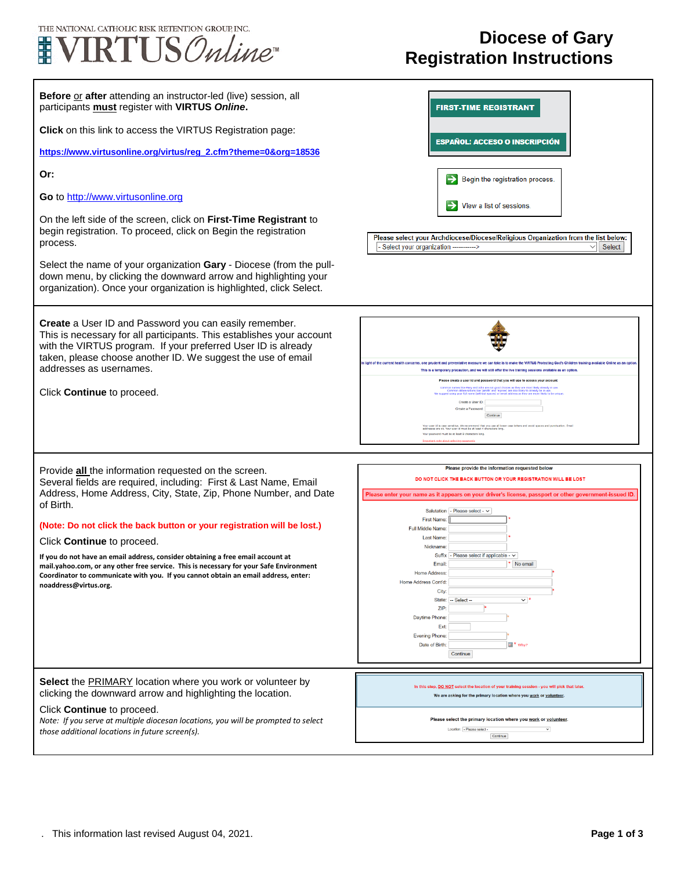

## **Diocese of Gary Registration Instructions**

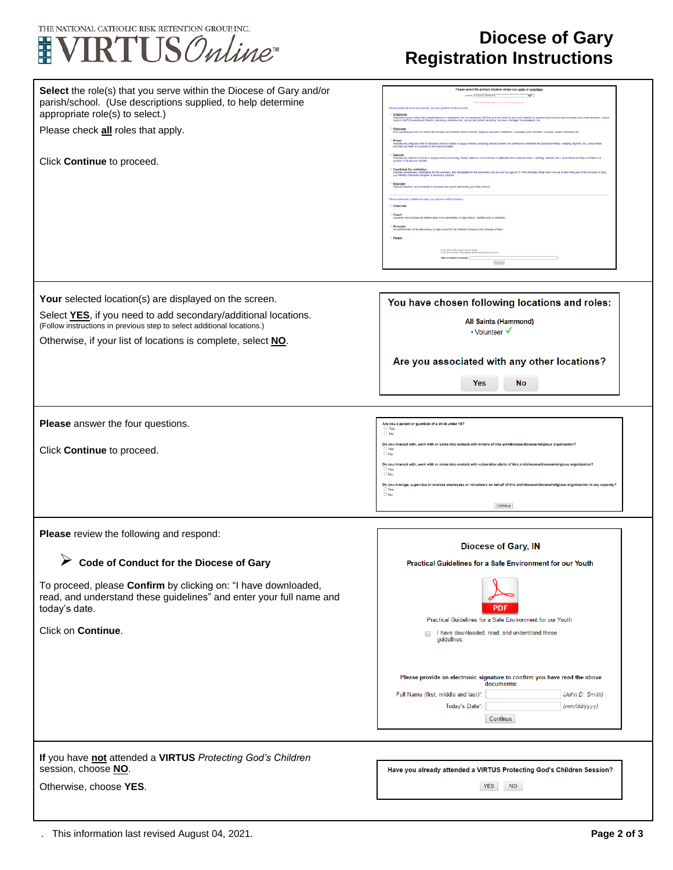

## **Diocese of Gary Registration Instructions**

| Select the role(s) that you serve within the Diocese of Gary and/or<br>parish/school. (Use descriptions supplied, to help determine<br>appropriate role(s) to select.)       | Please select the primary location where you work or volunteer.<br>Location: [All Saints (Hammond)<br>$\overline{\mathsf{v}}$<br>ohers) who are employed (full time and part time) by and work directly for parishes and so                                                                                                                                                                                                                                                                                                                                                                                                                                                                                                                                                                                                                                                                                                                                                                                                                                             |
|------------------------------------------------------------------------------------------------------------------------------------------------------------------------------|-------------------------------------------------------------------------------------------------------------------------------------------------------------------------------------------------------------------------------------------------------------------------------------------------------------------------------------------------------------------------------------------------------------------------------------------------------------------------------------------------------------------------------------------------------------------------------------------------------------------------------------------------------------------------------------------------------------------------------------------------------------------------------------------------------------------------------------------------------------------------------------------------------------------------------------------------------------------------------------------------------------------------------------------------------------------------|
| Please check all roles that apply.                                                                                                                                           |                                                                                                                                                                                                                                                                                                                                                                                                                                                                                                                                                                                                                                                                                                                                                                                                                                                                                                                                                                                                                                                                         |
| Click Continue to proceed.                                                                                                                                                   | .<br>Ious order or discesse priest in ective or supply ministry (including 'retired' priests who continue to celebrate the c<br>Un a nontion to he arrunot oblides<br>acon in active or supply ministry (including 'relired' deacons who continue to celebrate the occasional Mass, wedding, baptism, etc.) since<br>Candidate for ordinatio<br>eminarians, candidates for the seminary, and candidates for the diaconate who are over the age of 18. Also includes, those men who are in their<br>ty Formation program to become a Deacon.<br>schers and principals in diocesan and parish elementary and high sch<br><b>Please select any additional roles you perform at this location</b><br>Catechiat<br>1 Coach<br>A nerson who coaches an athletic team in an elementary or high school, whether paid or vo<br>rator of an alamantary or high school for the Catholic Schools of the Diocese of Ga<br>If you have a title please enter it below.<br>If you do not have a title, please briefly describe what you do.<br>Title or Position of Service:<br>Contrue |
| Your selected location(s) are displayed on the screen.                                                                                                                       | You have chosen following locations and roles:                                                                                                                                                                                                                                                                                                                                                                                                                                                                                                                                                                                                                                                                                                                                                                                                                                                                                                                                                                                                                          |
| Select YES, if you need to add secondary/additional locations.                                                                                                               | <b>All Saints (Hammond)</b>                                                                                                                                                                                                                                                                                                                                                                                                                                                                                                                                                                                                                                                                                                                                                                                                                                                                                                                                                                                                                                             |
| (Follow instructions in previous step to select additional locations.)<br>Otherwise, if your list of locations is complete, select NO.                                       | • Volunteer √                                                                                                                                                                                                                                                                                                                                                                                                                                                                                                                                                                                                                                                                                                                                                                                                                                                                                                                                                                                                                                                           |
|                                                                                                                                                                              | Are you associated with any other locations?                                                                                                                                                                                                                                                                                                                                                                                                                                                                                                                                                                                                                                                                                                                                                                                                                                                                                                                                                                                                                            |
|                                                                                                                                                                              | <b>Yes</b><br><b>No</b>                                                                                                                                                                                                                                                                                                                                                                                                                                                                                                                                                                                                                                                                                                                                                                                                                                                                                                                                                                                                                                                 |
|                                                                                                                                                                              |                                                                                                                                                                                                                                                                                                                                                                                                                                                                                                                                                                                                                                                                                                                                                                                                                                                                                                                                                                                                                                                                         |
|                                                                                                                                                                              |                                                                                                                                                                                                                                                                                                                                                                                                                                                                                                                                                                                                                                                                                                                                                                                                                                                                                                                                                                                                                                                                         |
| Please answer the four questions.                                                                                                                                            | Are you a parent or guardian of a child under 18?<br>O Yes<br>$\bigcirc$ No                                                                                                                                                                                                                                                                                                                                                                                                                                                                                                                                                                                                                                                                                                                                                                                                                                                                                                                                                                                             |
| Click Continue to proceed.                                                                                                                                                   | Do you interact with, work with or come into contact with minors of this archdiocese/diocese/religious organization<br>$\cup$ Yes<br>$\bigcirc$ No                                                                                                                                                                                                                                                                                                                                                                                                                                                                                                                                                                                                                                                                                                                                                                                                                                                                                                                      |
|                                                                                                                                                                              | Do you interact with, work with or come into contact with vulnerable adults of this archdiocese/diocese<br>$O$ Yes<br>$\bigcirc$ No                                                                                                                                                                                                                                                                                                                                                                                                                                                                                                                                                                                                                                                                                                                                                                                                                                                                                                                                     |
|                                                                                                                                                                              | Do you manage, supervise or oversee employees or volunteers on behalf of this archdiocese/diocese/r<br>$O$ Yes<br>$\bigcirc$ No                                                                                                                                                                                                                                                                                                                                                                                                                                                                                                                                                                                                                                                                                                                                                                                                                                                                                                                                         |
|                                                                                                                                                                              | Continue                                                                                                                                                                                                                                                                                                                                                                                                                                                                                                                                                                                                                                                                                                                                                                                                                                                                                                                                                                                                                                                                |
| Please review the following and respond:                                                                                                                                     |                                                                                                                                                                                                                                                                                                                                                                                                                                                                                                                                                                                                                                                                                                                                                                                                                                                                                                                                                                                                                                                                         |
|                                                                                                                                                                              | <b>Diocese of Gary, IN</b>                                                                                                                                                                                                                                                                                                                                                                                                                                                                                                                                                                                                                                                                                                                                                                                                                                                                                                                                                                                                                                              |
| Code of Conduct for the Diocese of Gary                                                                                                                                      | Practical Guidelines for a Safe Environment for our Youth                                                                                                                                                                                                                                                                                                                                                                                                                                                                                                                                                                                                                                                                                                                                                                                                                                                                                                                                                                                                               |
| To proceed, please Confirm by clicking on: "I have downloaded,<br>read, and understand these guidelines" and enter your full name and<br>today's date.<br>Click on Continue. | PDI<br>Practical Guidelines for a Safe Environment for our Youth<br>I have downloaded, read, and understand these<br>guidelines.                                                                                                                                                                                                                                                                                                                                                                                                                                                                                                                                                                                                                                                                                                                                                                                                                                                                                                                                        |
|                                                                                                                                                                              | Please provide an electronic signature to confirm you have read the above<br>documents:<br>Full Name (first, middle and last)*<br>(John D. Smith)<br>Today's Date*<br>(mm/dd/yyyy)<br>Continue                                                                                                                                                                                                                                                                                                                                                                                                                                                                                                                                                                                                                                                                                                                                                                                                                                                                          |
| If you have not attended a VIRTUS Protecting God's Children                                                                                                                  |                                                                                                                                                                                                                                                                                                                                                                                                                                                                                                                                                                                                                                                                                                                                                                                                                                                                                                                                                                                                                                                                         |
| session, choose NO.                                                                                                                                                          | Have you already attended a VIRTUS Protecting God's Children Session?                                                                                                                                                                                                                                                                                                                                                                                                                                                                                                                                                                                                                                                                                                                                                                                                                                                                                                                                                                                                   |
| Otherwise, choose YES.                                                                                                                                                       | <b>YES</b><br><b>NO</b>                                                                                                                                                                                                                                                                                                                                                                                                                                                                                                                                                                                                                                                                                                                                                                                                                                                                                                                                                                                                                                                 |
|                                                                                                                                                                              |                                                                                                                                                                                                                                                                                                                                                                                                                                                                                                                                                                                                                                                                                                                                                                                                                                                                                                                                                                                                                                                                         |